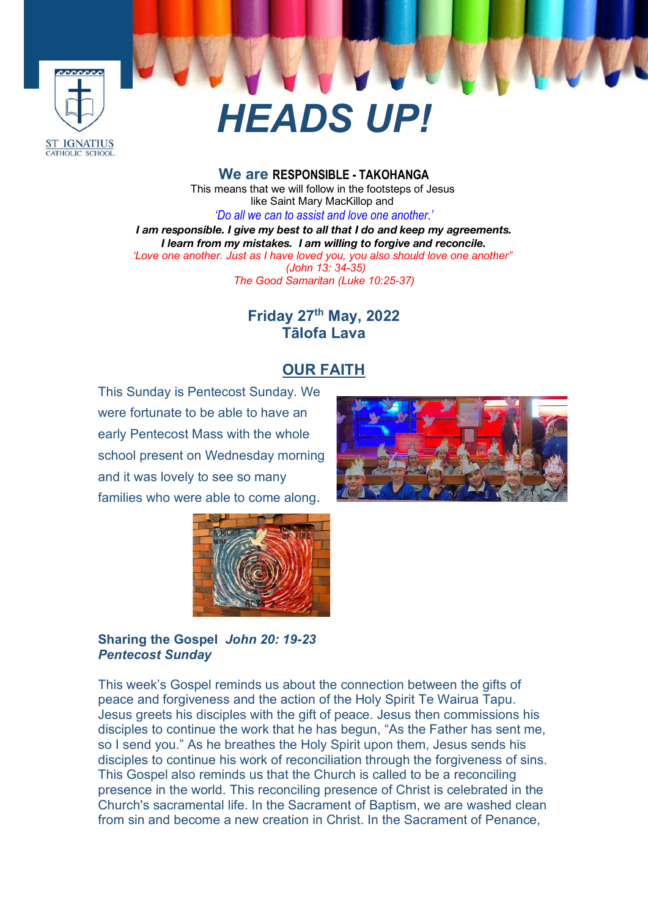

# *HEADS UP!*

**We are RESPONSIBLE - TAKOHANGA** This means that we will follow in the footsteps of Jesus like Saint Mary MacKillop and *'Do all we can to assist and love one another.'*

*I am responsible. I give my best to all that I do and keep my agreements. I learn from my mistakes. I am willing to forgive and reconcile. 'Love one another. Just as I have loved you, you also should love one another" (John 13: 34-35) The Good Samaritan (Luke 10:25-37)*

# **Friday 27th May, 2022 Tālofa Lava**

# **OUR FAITH**

This Sunday is Pentecost Sunday. We were fortunate to be able to have an early Pentecost Mass with the whole school present on Wednesday morning and it was lovely to see so many families who were able to come along.





**Sharing the Gospel** *John 20: 19-23 Pentecost Sunday*

This week's Gospel reminds us about the connection between the gifts of peace and forgiveness and the action of the Holy Spirit Te Wairua Tapu. Jesus greets his disciples with the gift of peace. Jesus then commissions his disciples to continue the work that he has begun, "As the Father has sent me, so I send you." As he breathes the Holy Spirit upon them, Jesus sends his disciples to continue his work of reconciliation through the forgiveness of sins. This Gospel also reminds us that the Church is called to be a reconciling presence in the world. This reconciling presence of Christ is celebrated in the Church's sacramental life. In the Sacrament of Baptism, we are washed clean from sin and become a new creation in Christ. In the Sacrament of Penance,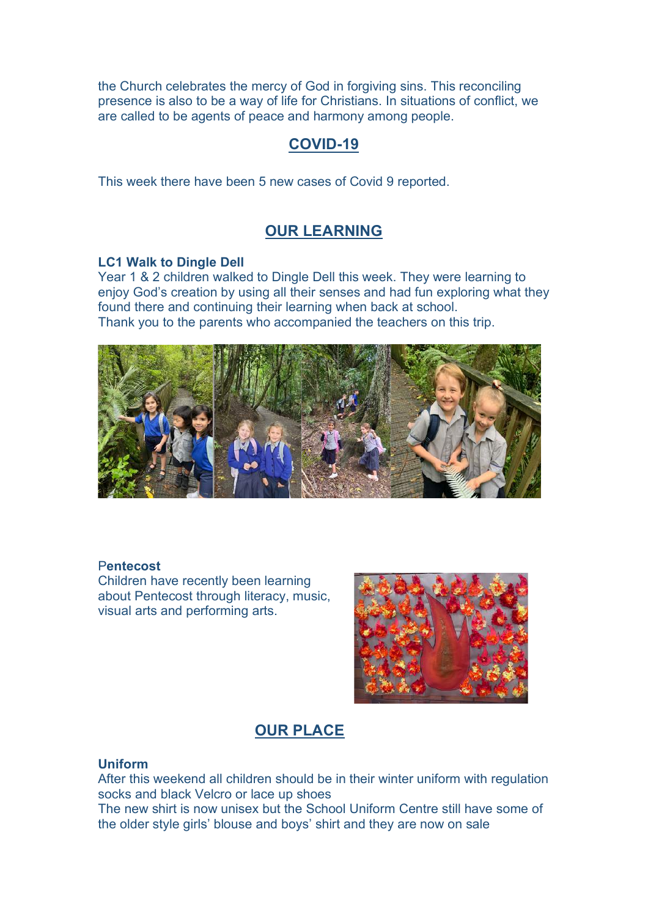the Church celebrates the mercy of God in forgiving sins. This reconciling presence is also to be a way of life for Christians. In situations of conflict, we are called to be agents of peace and harmony among people.

# **COVID-19**

This week there have been 5 new cases of Covid 9 reported.

#### **OUR LEARNING**

#### **LC1 Walk to Dingle Dell**

Year 1 & 2 children walked to Dingle Dell this week. They were learning to enjoy God's creation by using all their senses and had fun exploring what they found there and continuing their learning when back at school. Thank you to the parents who accompanied the teachers on this trip.



#### P**entecost**

Children have recently been learning about Pentecost through literacy, music, visual arts and performing arts.



### **OUR PLACE**

#### **Uniform**

After this weekend all children should be in their winter uniform with regulation socks and black Velcro or lace up shoes

The new shirt is now unisex but the School Uniform Centre still have some of the older style girls' blouse and boys' shirt and they are now on sale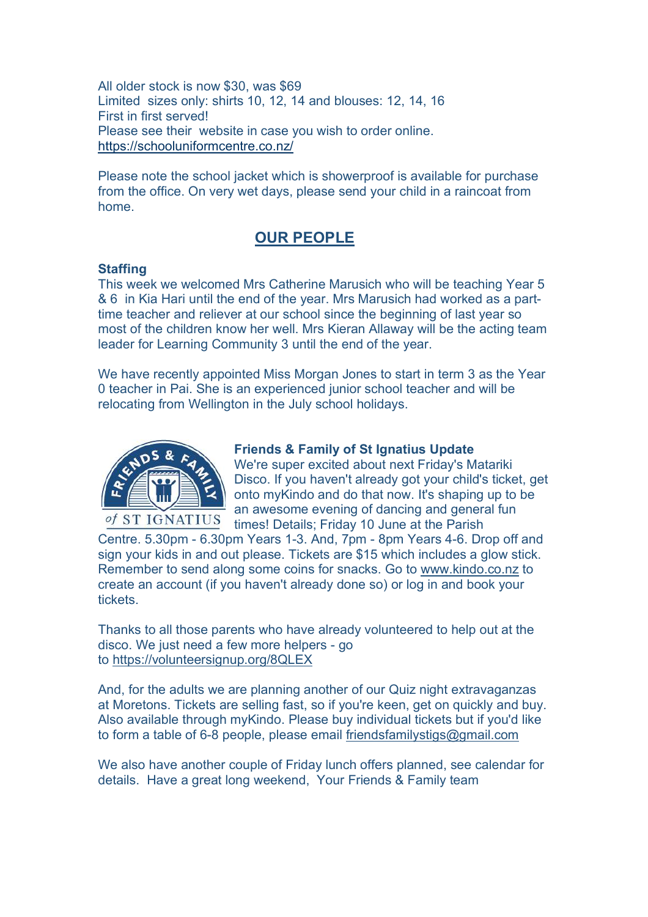All older stock is now \$30, was \$69 Limited sizes only: shirts 10, 12, 14 and blouses: 12, 14, 16 First in first served! Please see their website in case you wish to order online. https://schooluniformcentre.co.nz/

Please note the school jacket which is showerproof is available for purchase from the office. On very wet days, please send your child in a raincoat from home.

## **OUR PEOPLE**

#### **Staffing**

This week we welcomed Mrs Catherine Marusich who will be teaching Year 5 & 6 in Kia Hari until the end of the year. Mrs Marusich had worked as a parttime teacher and reliever at our school since the beginning of last year so most of the children know her well. Mrs Kieran Allaway will be the acting team leader for Learning Community 3 until the end of the year.

We have recently appointed Miss Morgan Jones to start in term 3 as the Year 0 teacher in Pai. She is an experienced junior school teacher and will be relocating from Wellington in the July school holidays.



#### **Friends & Family of St Ignatius Update**

We're super excited about next Friday's Matariki Disco. If you haven't already got your child's ticket, get onto myKindo and do that now. It's shaping up to be an awesome evening of dancing and general fun times! Details; Friday 10 June at the Parish

Centre. 5.30pm - 6.30pm Years 1-3. And, 7pm - 8pm Years 4-6. Drop off and sign your kids in and out please. Tickets are \$15 which includes a glow stick. Remember to send along some coins for snacks. Go to www.kindo.co.nz to create an account (if you haven't already done so) or log in and book your tickets.

Thanks to all those parents who have already volunteered to help out at the disco. We just need a few more helpers - go to https://volunteersignup.org/8QLEX

And, for the adults we are planning another of our Quiz night extravaganzas at Moretons. Tickets are selling fast, so if you're keen, get on quickly and buy. Also available through myKindo. Please buy individual tickets but if you'd like to form a table of 6-8 people, please email friendsfamilystigs@gmail.com

We also have another couple of Friday lunch offers planned, see calendar for details. Have a great long weekend, Your Friends & Family team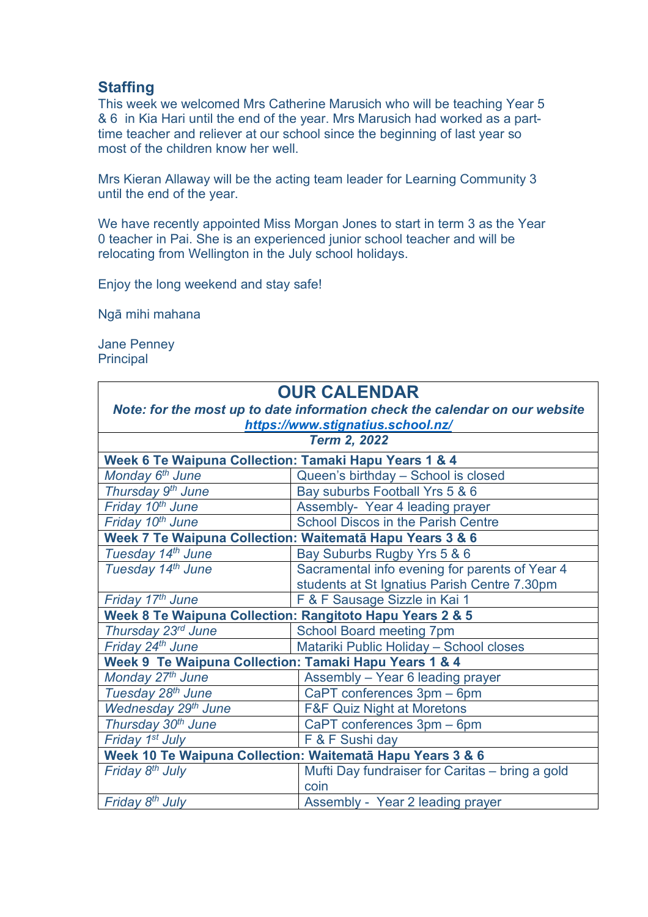### **Staffing**

This week we welcomed Mrs Catherine Marusich who will be teaching Year 5 & 6 in Kia Hari until the end of the year. Mrs Marusich had worked as a parttime teacher and reliever at our school since the beginning of last year so most of the children know her well.

Mrs Kieran Allaway will be the acting team leader for Learning Community 3 until the end of the year.

We have recently appointed Miss Morgan Jones to start in term 3 as the Year 0 teacher in Pai. She is an experienced junior school teacher and will be relocating from Wellington in the July school holidays.

Enjoy the long weekend and stay safe!

Ngā mihi mahana

Jane Penney **Principal** 

| <b>OUR CALENDAR</b>                                                         |                                                 |
|-----------------------------------------------------------------------------|-------------------------------------------------|
| Note: for the most up to date information check the calendar on our website |                                                 |
| https://www.stignatius.school.nz/                                           |                                                 |
| <b>Term 2, 2022</b>                                                         |                                                 |
| Week 6 Te Waipuna Collection: Tamaki Hapu Years 1 & 4                       |                                                 |
| Monday 6 <sup>th</sup> June                                                 | Queen's birthday - School is closed             |
| Thursday 9 <sup>th</sup> June                                               | Bay suburbs Football Yrs 5 & 6                  |
| Friday 10 <sup>th</sup> June                                                | Assembly-Year 4 leading prayer                  |
| Friday 10 <sup>th</sup> June                                                | <b>School Discos in the Parish Centre</b>       |
| Week 7 Te Waipuna Collection: Waitematā Hapu Years 3 & 6                    |                                                 |
| Tuesday 14th June                                                           | Bay Suburbs Rugby Yrs 5 & 6                     |
| Tuesday 14th June                                                           | Sacramental info evening for parents of Year 4  |
|                                                                             | students at St Ignatius Parish Centre 7.30pm    |
| Friday 17th June                                                            | F & F Sausage Sizzle in Kai 1                   |
| Week 8 Te Waipuna Collection: Rangitoto Hapu Years 2 & 5                    |                                                 |
| Thursday 23rd June                                                          | <b>School Board meeting 7pm</b>                 |
| Friday 24th June                                                            | Matariki Public Holiday - School closes         |
| Week 9 Te Waipuna Collection: Tamaki Hapu Years 1 & 4                       |                                                 |
| Monday 27th June                                                            | Assembly - Year 6 leading prayer                |
| Tuesday 28 <sup>th</sup> June                                               | CaPT conferences 3pm - 6pm                      |
| Wednesday 29 <sup>th</sup> June                                             | <b>F&amp;F Quiz Night at Moretons</b>           |
| Thursday 30th June                                                          | CaPT conferences 3pm - 6pm                      |
| Friday 1 <sup>st</sup> July                                                 | F & F Sushi day                                 |
| Week 10 Te Waipuna Collection: Waitematā Hapu Years 3 & 6                   |                                                 |
| Friday 8 <sup>th</sup> July                                                 | Mufti Day fundraiser for Caritas - bring a gold |
|                                                                             | coin                                            |
| Friday 8 <sup>th</sup> July                                                 | Assembly - Year 2 leading prayer                |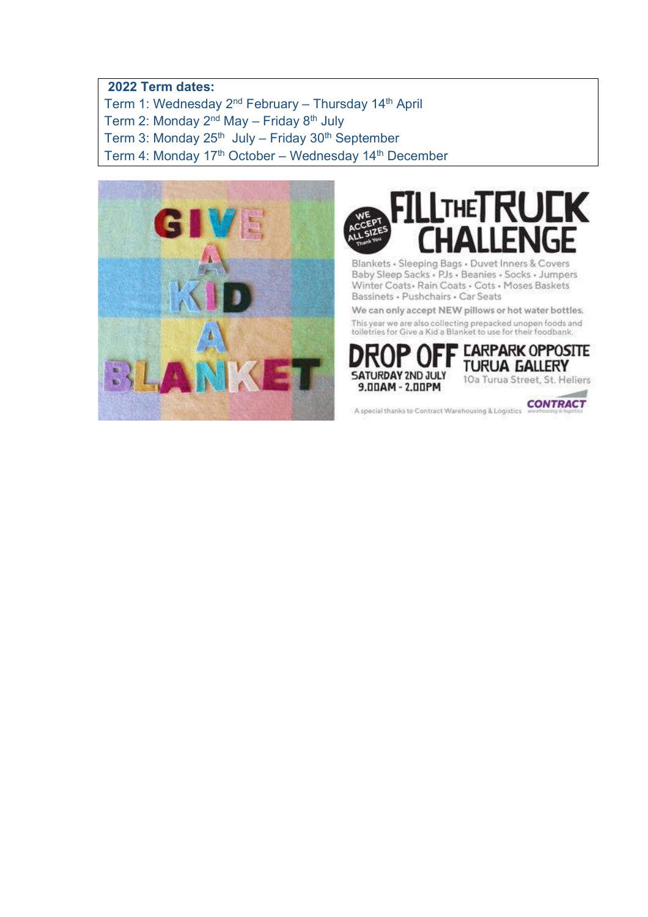#### **2022 Term dates:**

Term 1: Wednesday 2nd February – Thursday 14th April

Term 2: Monday  $2<sup>nd</sup>$  May – Friday  $8<sup>th</sup>$  July

Term 3: Monday  $25<sup>th</sup>$  July – Friday  $30<sup>th</sup>$  September

Term 4: Monday 17<sup>th</sup> October – Wednesday 14<sup>th</sup> December





Blankets - Sleeping Bags - Duvet Inners & Covers Baby Sleep Sacks - PJs - Beanies - Socks - Jumpers Winter Coats - Rain Coats - Cots - Moses Baskets Bassinets · Pushchairs · Car Seats

We can only accept NEW pillows or hot water bottles. This year we are also collecting prepacked unopen foods and<br>tolletries for Give a Kid a Blanket to use for their foodbank.



A special thanks to Contract Warehousing & Logistics CONTRACT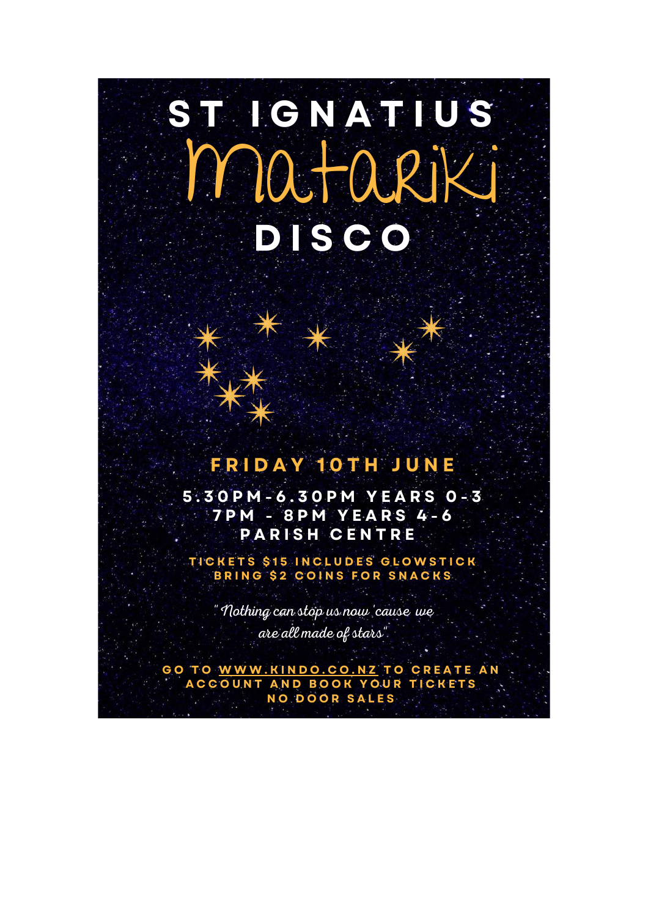# ST IGNATIUS D ISCO Matariki

# F R I D A Y 1 0 T H J U N E

5 . 3 0 P M - 6 . 3 0 P M Y E A R S 0 - 3 7 P M - 8 P M Y E A R S 4 - 6 PARISH CENTRE

TICKETS \$15 INCLUDES GLOWSTICK BRING \$2 COINS FOR SNACKS

"Nothing can stop us now 'cause we are all made of stars"

GO TO WWW.KINDO.CO.NZ TO CREATE AN A C C O UNT AND BOOK YOUR TICKETS NO DOOR SALES